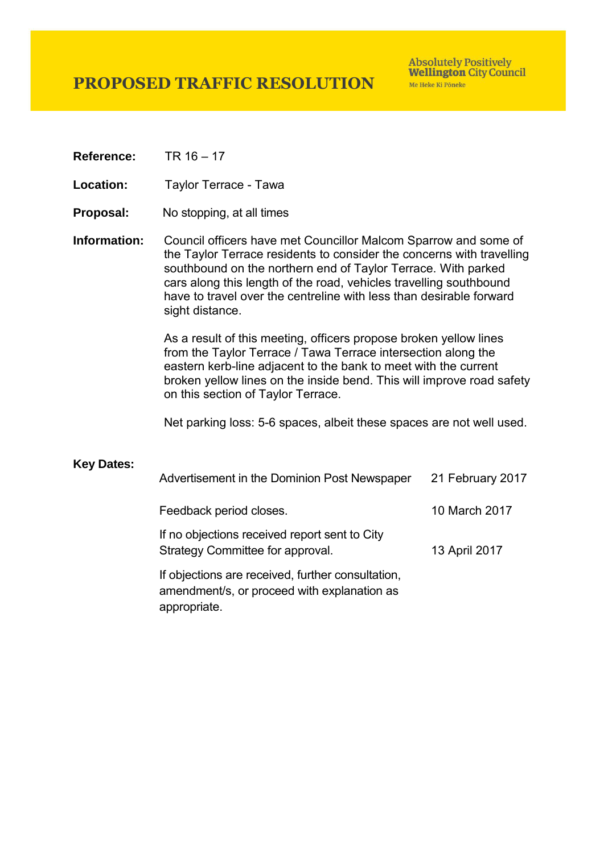## **PROPOSED TRAFFIC RESOLUTION**

**Absolutely Positively Wellington City Council** Me Heke Ki Pôneke

**Reference:** TR 16 – 17

Location: Taylor Terrace - Tawa

- **Proposal:** No stopping, at all times
- **Information:** Council officers have met Councillor Malcom Sparrow and some of the Taylor Terrace residents to consider the concerns with travelling southbound on the northern end of Taylor Terrace. With parked cars along this length of the road, vehicles travelling southbound have to travel over the centreline with less than desirable forward sight distance.

As a result of this meeting, officers propose broken yellow lines from the Taylor Terrace / Tawa Terrace intersection along the eastern kerb-line adjacent to the bank to meet with the current broken yellow lines on the inside bend. This will improve road safety on this section of Taylor Terrace.

Net parking loss: 5-6 spaces, albeit these spaces are not well used.

## **Key Dates:**

| Advertisement in the Dominion Post Newspaper                                                                     | 21 February 2017 |
|------------------------------------------------------------------------------------------------------------------|------------------|
| Feedback period closes.                                                                                          | 10 March 2017    |
| If no objections received report sent to City<br>Strategy Committee for approval.                                | 13 April 2017    |
| If objections are received, further consultation,<br>amendment/s, or proceed with explanation as<br>appropriate. |                  |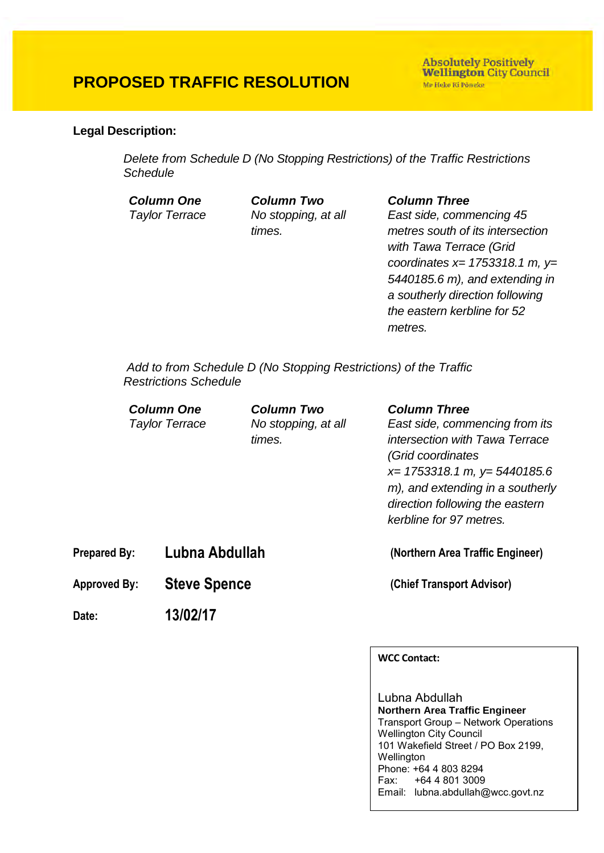## **PROPOSED TRAFFIC RESOLUTION**

**Absolutely Positively Wellington City Council** Me Heke Ki Pôneke

## **Legal Description:**

*Delete from Schedule D (No Stopping Restrictions) of the Traffic Restrictions Schedule* 

*Column One Column Two Column Three Taylor Terrace No stopping, at all times.*

*East side, commencing 45 metres south of its intersection with Tawa Terrace (Grid coordinates x= 1753318.1 m, y= 5440185.6 m), and extending in a southerly direction following the eastern kerbline for 52 metres.*

 *Add to from Schedule D (No Stopping Restrictions) of the Traffic Restrictions Schedule* 

|                     | <b>Column Three</b>              |
|---------------------|----------------------------------|
| No stopping, at all | East side, commencing from its   |
| times.              | intersection with Tawa Terrace   |
|                     | (Grid coordinates                |
|                     | $x=$ 1753318.1 m, $y=$ 5440185.6 |
|                     | m), and extending in a southerly |
|                     | direction following the eastern  |
|                     | kerbline for 97 metres.          |
|                     | <b>Column Two</b>                |

**Prepared By: Lubna Abdullah (Northern Area Traffic Engineer)**

**Approved By: Steve Spence (Chief Transport Advisor)**

**Date: 13/02/17**

**WCC Contact:** 

Lubna Abdullah **Northern Area Traffic Engineer** Transport Group – Network Operations Wellington City Council 101 Wakefield Street / PO Box 2199, **Wellington** Phone: +64 4 803 8294 Fax: +64 4 801 3009 Email: lubna.abdullah@wcc.govt.nz